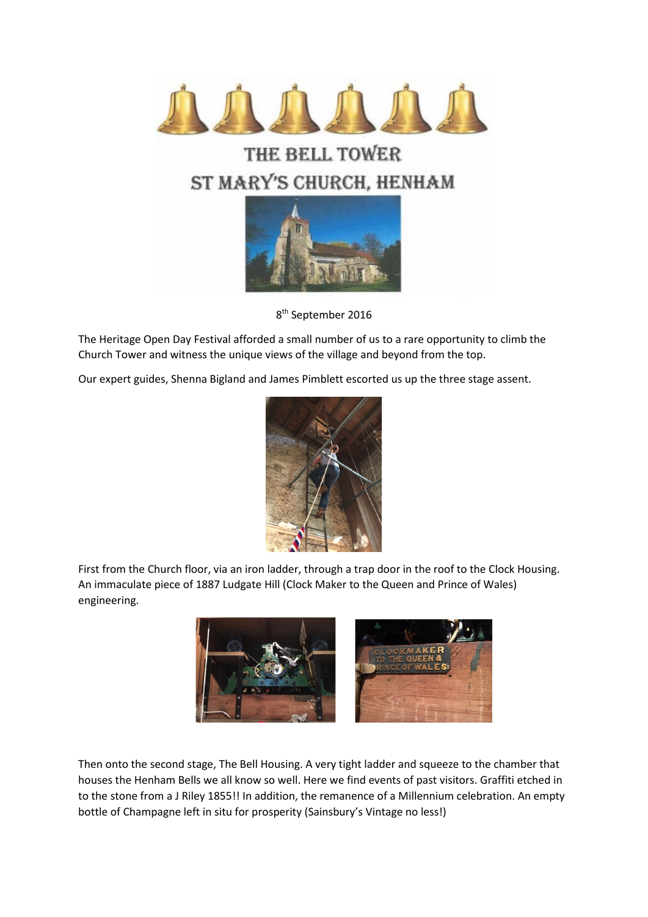

## THE BELL TOWER ST MARY'S CHURCH, HENHAM



8th September 2016

The Heritage Open Day Festival afforded a small number of us to a rare opportunity to climb the Church Tower and witness the unique views of the village and beyond from the top.

Our expert guides, Shenna Bigland and James Pimblett escorted us up the three stage assent.



First from the Church floor, via an iron ladder, through a trap door in the roof to the Clock Housing. An immaculate piece of 1887 Ludgate Hill (Clock Maker to the Queen and Prince of Wales) engineering.



Then onto the second stage, The Bell Housing. A very tight ladder and squeeze to the chamber that houses the Henham Bells we all know so well. Here we find events of past visitors. Graffiti etched in to the stone from a J Riley 1855!! In addition, the remanence of a Millennium celebration. An empty bottle of Champagne left in situ for prosperity (Sainsbury's Vintage no less!)